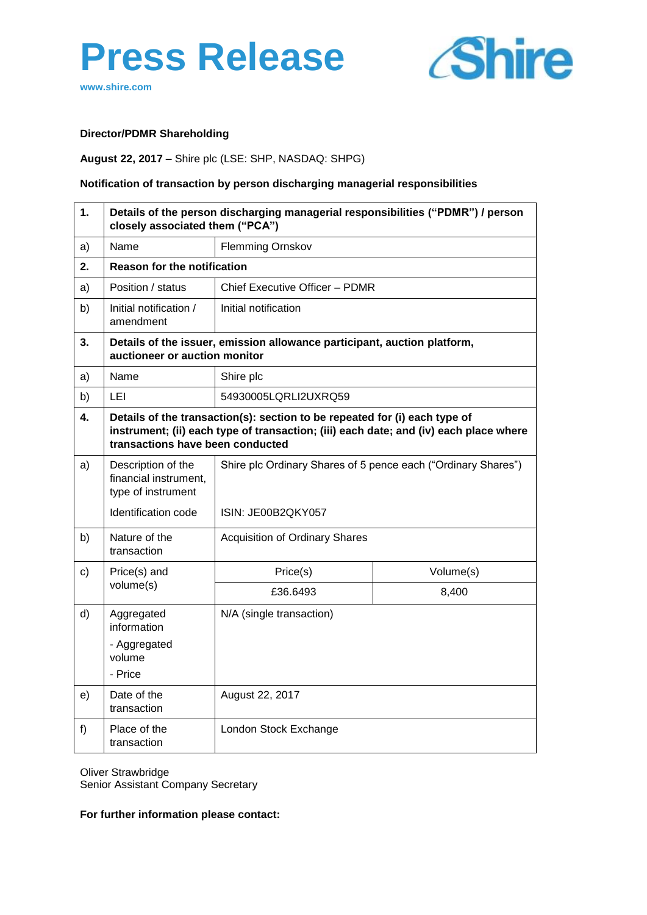



**www.shire.com**

# **Director/PDMR Shareholding**

### **August 22, 2017** – Shire plc (LSE: SHP, NASDAQ: SHPG)

### **Notification of transaction by person discharging managerial responsibilities**

| 1.            | Details of the person discharging managerial responsibilities ("PDMR") / person<br>closely associated them ("PCA") |                                                                                                                                                                                                         |           |  |  |
|---------------|--------------------------------------------------------------------------------------------------------------------|---------------------------------------------------------------------------------------------------------------------------------------------------------------------------------------------------------|-----------|--|--|
| a)            | Name                                                                                                               | <b>Flemming Ornskov</b>                                                                                                                                                                                 |           |  |  |
| 2.            |                                                                                                                    | <b>Reason for the notification</b>                                                                                                                                                                      |           |  |  |
| a)            | Position / status                                                                                                  | Chief Executive Officer - PDMR                                                                                                                                                                          |           |  |  |
| b)            | Initial notification /<br>amendment                                                                                | Initial notification                                                                                                                                                                                    |           |  |  |
| 3.            | auctioneer or auction monitor                                                                                      | Details of the issuer, emission allowance participant, auction platform,                                                                                                                                |           |  |  |
| a)            | Name                                                                                                               | Shire plc                                                                                                                                                                                               |           |  |  |
| b)            | LEI                                                                                                                | 54930005LQRLI2UXRQ59                                                                                                                                                                                    |           |  |  |
| 4.            |                                                                                                                    | Details of the transaction(s): section to be repeated for (i) each type of<br>instrument; (ii) each type of transaction; (iii) each date; and (iv) each place where<br>transactions have been conducted |           |  |  |
| a)            | Description of the<br>financial instrument,<br>type of instrument                                                  | Shire plc Ordinary Shares of 5 pence each ("Ordinary Shares")<br>ISIN: JE00B2QKY057                                                                                                                     |           |  |  |
|               | Identification code                                                                                                |                                                                                                                                                                                                         |           |  |  |
| b)            | Nature of the<br>transaction                                                                                       | <b>Acquisition of Ordinary Shares</b>                                                                                                                                                                   |           |  |  |
| $\mathbf{c})$ | Price(s) and<br>volume(s)                                                                                          | Price(s)                                                                                                                                                                                                | Volume(s) |  |  |
|               |                                                                                                                    | £36,6493                                                                                                                                                                                                | 8,400     |  |  |
| d)            | Aggregated<br>information<br>- Aggregated<br>volume<br>- Price                                                     | N/A (single transaction)                                                                                                                                                                                |           |  |  |
| e)            | Date of the<br>transaction                                                                                         | August 22, 2017                                                                                                                                                                                         |           |  |  |
| f)            | Place of the<br>transaction                                                                                        | London Stock Exchange                                                                                                                                                                                   |           |  |  |

Oliver Strawbridge

Senior Assistant Company Secretary

**For further information please contact:**